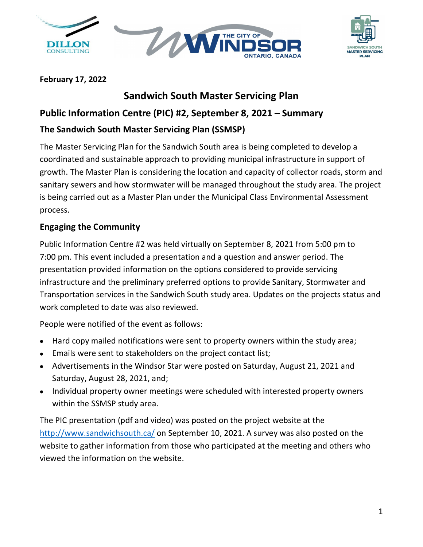





#### **February 17, 2022**

## **Sandwich South Master Servicing Plan**

## **Public Information Centre (PIC) #2, September 8, 2021 – Summary**

## **The Sandwich South Master Servicing Plan (SSMSP)**

The Master Servicing Plan for the Sandwich South area is being completed to develop a coordinated and sustainable approach to providing municipal infrastructure in support of growth. The Master Plan is considering the location and capacity of collector roads, storm and sanitary sewers and how stormwater will be managed throughout the study area. The project is being carried out as a Master Plan under the Municipal Class Environmental Assessment process.

## **Engaging the Community**

Public Information Centre #2 was held virtually on September 8, 2021 from 5:00 pm to 7:00 pm. This event included a presentation and a question and answer period. The presentation provided information on the options considered to provide servicing infrastructure and the preliminary preferred options to provide Sanitary, Stormwater and Transportation services in the Sandwich South study area. Updates on the projects status and work completed to date was also reviewed.

People were notified of the event as follows:

- Hard copy mailed notifications were sent to property owners within the study area;
- Emails were sent to stakeholders on the project contact list;
- Advertisements in the Windsor Star were posted on Saturday, August 21, 2021 and Saturday, August 28, 2021, and;
- Individual property owner meetings were scheduled with interested property owners within the SSMSP study area.

The PIC presentation (pdf and video) was posted on the project website at the <http://www.sandwichsouth.ca/> on September 10, 2021. A survey was also posted on the website to gather information from those who participated at the meeting and others who viewed the information on the website.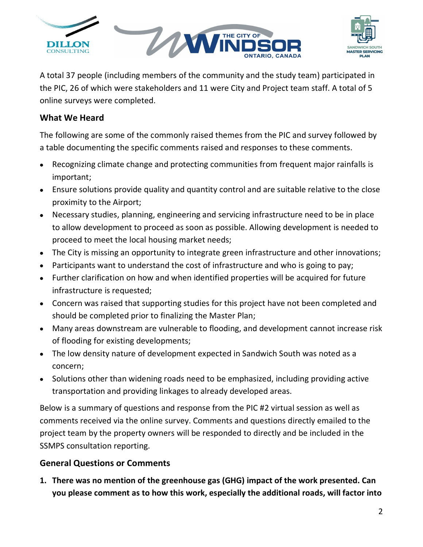



A total 37 people (including members of the community and the study team) participated in the PIC, 26 of which were stakeholders and 11 were City and Project team staff. A total of 5 online surveys were completed.

### **What We Heard**

The following are some of the commonly raised themes from the PIC and survey followed by a table documenting the specific comments raised and responses to these comments.

- Recognizing climate change and protecting communities from frequent major rainfalls is important;
- Ensure solutions provide quality and quantity control and are suitable relative to the close proximity to the Airport;
- Necessary studies, planning, engineering and servicing infrastructure need to be in place to allow development to proceed as soon as possible. Allowing development is needed to proceed to meet the local housing market needs;
- The City is missing an opportunity to integrate green infrastructure and other innovations;
- Participants want to understand the cost of infrastructure and who is going to pay;
- Further clarification on how and when identified properties will be acquired for future infrastructure is requested;
- Concern was raised that supporting studies for this project have not been completed and should be completed prior to finalizing the Master Plan;
- Many areas downstream are vulnerable to flooding, and development cannot increase risk of flooding for existing developments;
- The low density nature of development expected in Sandwich South was noted as a concern;
- Solutions other than widening roads need to be emphasized, including providing active transportation and providing linkages to already developed areas.

Below is a summary of questions and response from the PIC #2 virtual session as well as comments received via the online survey. Comments and questions directly emailed to the project team by the property owners will be responded to directly and be included in the SSMPS consultation reporting.

## **General Questions or Comments**

**1. There was no mention of the greenhouse gas (GHG) impact of the work presented. Can you please comment as to how this work, especially the additional roads, will factor into**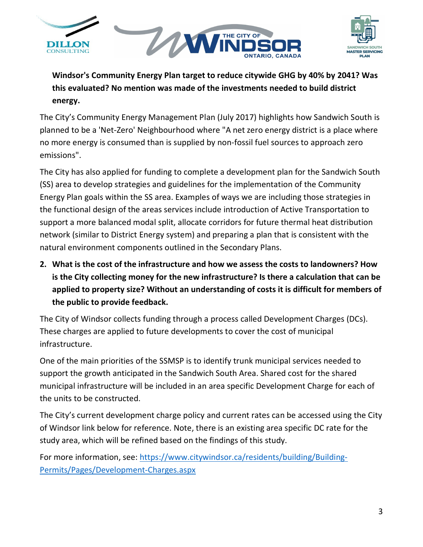



**Windsor's Community Energy Plan target to reduce citywide GHG by 40% by 2041? Was this evaluated? No mention was made of the investments needed to build district energy.**

The City's Community Energy Management Plan (July 2017) highlights how Sandwich South is planned to be a 'Net-Zero' Neighbourhood where "A net zero energy district is a place where no more energy is consumed than is supplied by non-fossil fuel sources to approach zero emissions".

The City has also applied for funding to complete a development plan for the Sandwich South (SS) area to develop strategies and guidelines for the implementation of the Community Energy Plan goals within the SS area. Examples of ways we are including those strategies in the functional design of the areas services include introduction of Active Transportation to support a more balanced modal split, allocate corridors for future thermal heat distribution network (similar to District Energy system) and preparing a plan that is consistent with the natural environment components outlined in the Secondary Plans.

**2. What is the cost of the infrastructure and how we assess the costs to landowners? How is the City collecting money for the new infrastructure? Is there a calculation that can be applied to property size? Without an understanding of costs it is difficult for members of the public to provide feedback.**

The City of Windsor collects funding through a process called Development Charges (DCs). These charges are applied to future developments to cover the cost of municipal infrastructure.

One of the main priorities of the SSMSP is to identify trunk municipal services needed to support the growth anticipated in the Sandwich South Area. Shared cost for the shared municipal infrastructure will be included in an area specific Development Charge for each of the units to be constructed.

The City's current development charge policy and current rates can be accessed using the City of Windsor link below for reference. Note, there is an existing area specific DC rate for the study area, which will be refined based on the findings of this study.

For more information, see: [https://www.citywindsor.ca/residents/building/Building-](https://www.citywindsor.ca/residents/building/Building-Permits/Pages/Development-Charges.aspx)[Permits/Pages/Development-Charges.aspx](https://www.citywindsor.ca/residents/building/Building-Permits/Pages/Development-Charges.aspx)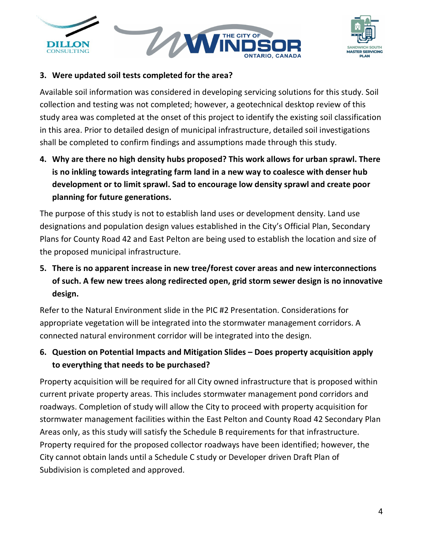



#### **3. Were updated soil tests completed for the area?**

Available soil information was considered in developing servicing solutions for this study. Soil collection and testing was not completed; however, a geotechnical desktop review of this study area was completed at the onset of this project to identify the existing soil classification in this area. Prior to detailed design of municipal infrastructure, detailed soil investigations shall be completed to confirm findings and assumptions made through this study.

**4. Why are there no high density hubs proposed? This work allows for urban sprawl. There is no inkling towards integrating farm land in a new way to coalesce with denser hub development or to limit sprawl. Sad to encourage low density sprawl and create poor planning for future generations.**

The purpose of this study is not to establish land uses or development density. Land use designations and population design values established in the City's Official Plan, Secondary Plans for County Road 42 and East Pelton are being used to establish the location and size of the proposed municipal infrastructure.

## **5. There is no apparent increase in new tree/forest cover areas and new interconnections of such. A few new trees along redirected open, grid storm sewer design is no innovative design.**

Refer to the Natural Environment slide in the PIC #2 Presentation. Considerations for appropriate vegetation will be integrated into the stormwater management corridors. A connected natural environment corridor will be integrated into the design.

<span id="page-3-0"></span>**6. Question on Potential Impacts and Mitigation Slides – Does property acquisition apply to everything that needs to be purchased?**

Property acquisition will be required for all City owned infrastructure that is proposed within current private property areas. This includes stormwater management pond corridors and roadways. Completion of study will allow the City to proceed with property acquisition for stormwater management facilities within the East Pelton and County Road 42 Secondary Plan Areas only, as this study will satisfy the Schedule B requirements for that infrastructure. Property required for the proposed collector roadways have been identified; however, the City cannot obtain lands until a Schedule C study or Developer driven Draft Plan of Subdivision is completed and approved.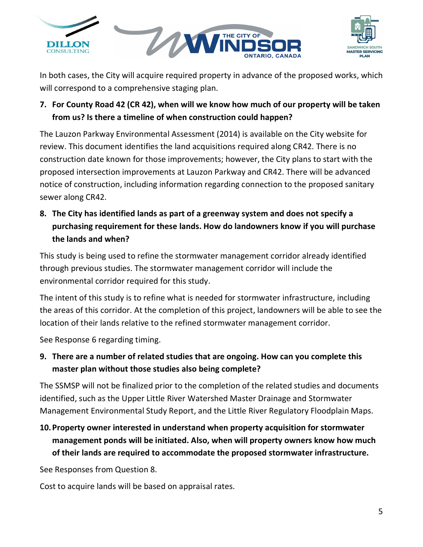



In both cases, the City will acquire required property in advance of the proposed works, which will correspond to a comprehensive staging plan.

## **7. For County Road 42 (CR 42), when will we know how much of our property will be taken from us? Is there a timeline of when construction could happen?**

The Lauzon Parkway Environmental Assessment (2014) is available on the City website for review. This document identifies the land acquisitions required along CR42. There is no construction date known for those improvements; however, the City plans to start with the proposed intersection improvements at Lauzon Parkway and CR42. There will be advanced notice of construction, including information regarding connection to the proposed sanitary sewer along CR42.

<span id="page-4-0"></span>**8. The City has identified lands as part of a greenway system and does not specify a purchasing requirement for these lands. How do landowners know if you will purchase the lands and when?**

This study is being used to refine the stormwater management corridor already identified through previous studies. The stormwater management corridor will include the environmental corridor required for this study.

The intent of this study is to refine what is needed for stormwater infrastructure, including the areas of this corridor. At the completion of this project, landowners will be able to see the location of their lands relative to the refined stormwater management corridor.

See Response [6](#page-3-0) regarding timing.

<span id="page-4-1"></span>**9. There are a number of related studies that are ongoing. How can you complete this master plan without those studies also being complete?**

The SSMSP will not be finalized prior to the completion of the related studies and documents identified, such as the Upper Little River Watershed Master Drainage and Stormwater Management Environmental Study Report, and the Little River Regulatory Floodplain Maps.

**10.Property owner interested in understand when property acquisition for stormwater management ponds will be initiated. Also, when will property owners know how much of their lands are required to accommodate the proposed stormwater infrastructure.** 

See Responses from Question [8.](#page-4-0)

Cost to acquire lands will be based on appraisal rates.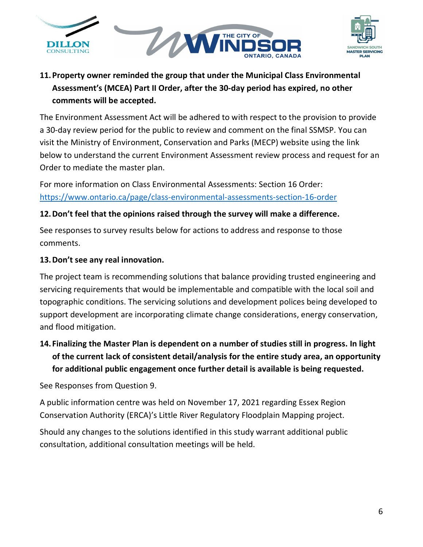



## **11.Property owner reminded the group that under the Municipal Class Environmental Assessment's (MCEA) Part II Order, after the 30-day period has expired, no other comments will be accepted.**

The Environment Assessment Act will be adhered to with respect to the provision to provide a 30-day review period for the public to review and comment on the final SSMSP. You can visit the Ministry of Environment, Conservation and Parks (MECP) website using the link below to understand the current Environment Assessment review process and request for an Order to mediate the master plan.

For more information on Class Environmental Assessments: Section 16 Order: <https://www.ontario.ca/page/class-environmental-assessments-section-16-order>

### **12.Don't feel that the opinions raised through the survey will make a difference.**

See responses to survey results below for actions to address and response to those comments.

### **13.Don't see any real innovation.**

The project team is recommending solutions that balance providing trusted engineering and servicing requirements that would be implementable and compatible with the local soil and topographic conditions. The servicing solutions and development polices being developed to support development are incorporating climate change considerations, energy conservation, and flood mitigation.

## **14. Finalizing the Master Plan is dependent on a number of studies still in progress. In light of the current lack of consistent detail/analysis for the entire study area, an opportunity for additional public engagement once further detail is available is being requested.**

See Responses from Question [9](#page-4-1).

A public information centre was held on November 17, 2021 regarding Essex Region Conservation Authority (ERCA)'s Little River Regulatory Floodplain Mapping project.

Should any changes to the solutions identified in this study warrant additional public consultation, additional consultation meetings will be held.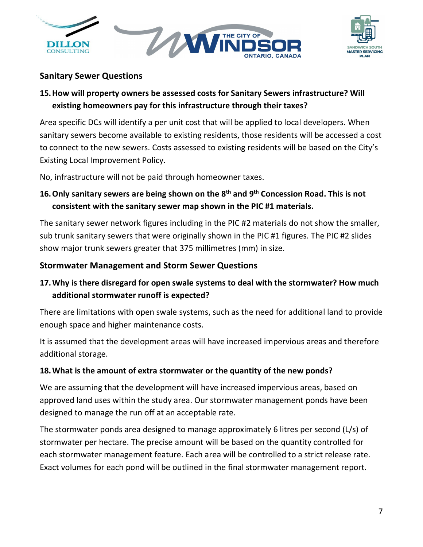



## **Sanitary Sewer Questions**

## **15.How will property owners be assessed costs for Sanitary Sewers infrastructure? Will existing homeowners pay for this infrastructure through their taxes?**

Area specific DCs will identify a per unit cost that will be applied to local developers. When sanitary sewers become available to existing residents, those residents will be accessed a cost to connect to the new sewers. Costs assessed to existing residents will be based on the City's Existing Local Improvement Policy.

No, infrastructure will not be paid through homeowner taxes.

## **16.Only sanitary sewers are being shown on the 8th and 9th Concession Road. This is not consistent with the sanitary sewer map shown in the PIC #1 materials.**

The sanitary sewer network figures including in the PIC #2 materials do not show the smaller, sub trunk sanitary sewers that were originally shown in the PIC #1 figures. The PIC #2 slides show major trunk sewers greater that 375 millimetres (mm) in size.

### **Stormwater Management and Storm Sewer Questions**

## **17.Why is there disregard for open swale systems to deal with the stormwater? How much additional stormwater runoff is expected?**

There are limitations with open swale systems, such as the need for additional land to provide enough space and higher maintenance costs.

It is assumed that the development areas will have increased impervious areas and therefore additional storage.

### **18.What is the amount of extra stormwater or the quantity of the new ponds?**

We are assuming that the development will have increased impervious areas, based on approved land uses within the study area. Our stormwater management ponds have been designed to manage the run off at an acceptable rate.

The stormwater ponds area designed to manage approximately 6 litres per second (L/s) of stormwater per hectare. The precise amount will be based on the quantity controlled for each stormwater management feature. Each area will be controlled to a strict release rate. Exact volumes for each pond will be outlined in the final stormwater management report.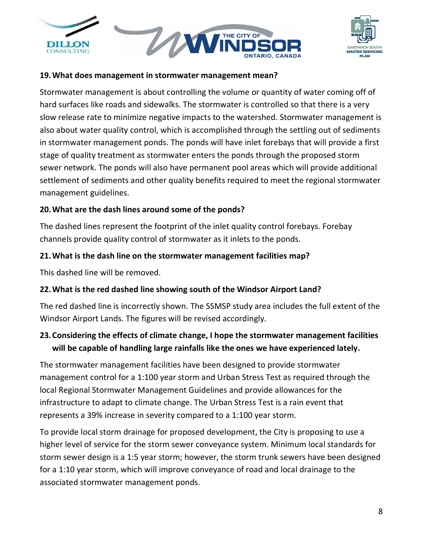



#### **19.What does management in stormwater management mean?**

Stormwater management is about controlling the volume or quantity of water coming off of hard surfaces like roads and sidewalks. The stormwater is controlled so that there is a very slow release rate to minimize negative impacts to the watershed. Stormwater management is also about water quality control, which is accomplished through the settling out of sediments in stormwater management ponds. The ponds will have inlet forebays that will provide a first stage of quality treatment as stormwater enters the ponds through the proposed storm sewer network. The ponds will also have permanent pool areas which will provide additional settlement of sediments and other quality benefits required to meet the regional stormwater management guidelines.

#### **20.What are the dash lines around some of the ponds?**

The dashed lines represent the footprint of the inlet quality control forebays. Forebay channels provide quality control of stormwater as it inlets to the ponds.

#### **21.What is the dash line on the stormwater management facilities map?**

This dashed line will be removed.

### **22.What is the red dashed line showing south of the Windsor Airport Land?**

The red dashed line is incorrectly shown. The SSMSP study area includes the full extent of the Windsor Airport Lands. The figures will be revised accordingly.

## **23.Considering the effects of climate change, I hope the stormwater management facilities will be capable of handling large rainfalls like the ones we have experienced lately.**

The stormwater management facilities have been designed to provide stormwater management control for a 1:100 year storm and Urban Stress Test as required through the local Regional Stormwater Management Guidelines and provide allowances for the infrastructure to adapt to climate change. The Urban Stress Test is a rain event that represents a 39% increase in severity compared to a 1:100 year storm.

To provide local storm drainage for proposed development, the City is proposing to use a higher level of service for the storm sewer conveyance system. Minimum local standards for storm sewer design is a 1:5 year storm; however, the storm trunk sewers have been designed for a 1:10 year storm, which will improve conveyance of road and local drainage to the associated stormwater management ponds.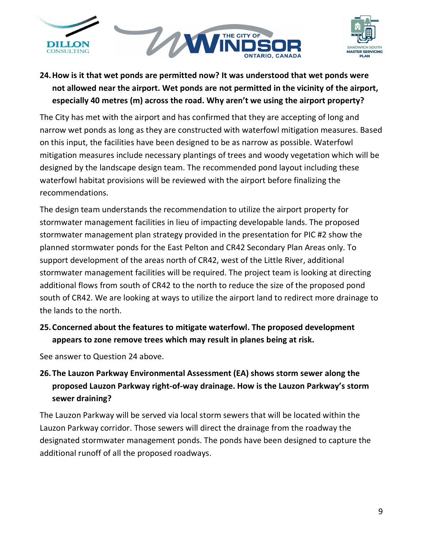

<span id="page-8-0"></span>

## **24.How is it that wet ponds are permitted now? It was understood that wet ponds were not allowed near the airport. Wet ponds are not permitted in the vicinity of the airport, especially 40 metres (m) across the road. Why aren't we using the airport property?**

The City has met with the airport and has confirmed that they are accepting of long and narrow wet ponds as long as they are constructed with waterfowl mitigation measures. Based on this input, the facilities have been designed to be as narrow as possible. Waterfowl mitigation measures include necessary plantings of trees and woody vegetation which will be designed by the landscape design team. The recommended pond layout including these waterfowl habitat provisions will be reviewed with the airport before finalizing the recommendations.

The design team understands the recommendation to utilize the airport property for stormwater management facilities in lieu of impacting developable lands. The proposed stormwater management plan strategy provided in the presentation for PIC #2 show the planned stormwater ponds for the East Pelton and CR42 Secondary Plan Areas only. To support development of the areas north of CR42, west of the Little River, additional stormwater management facilities will be required. The project team is looking at directing additional flows from south of CR42 to the north to reduce the size of the proposed pond south of CR42. We are looking at ways to utilize the airport land to redirect more drainage to the lands to the north.

**25.Concerned about the features to mitigate waterfowl. The proposed development appears to zone remove trees which may result in planes being at risk.**

See answer to Question [24](#page-8-0) above.

## **26.The Lauzon Parkway Environmental Assessment (EA) shows storm sewer along the proposed Lauzon Parkway right-of-way drainage. How is the Lauzon Parkway's storm sewer draining?**

The Lauzon Parkway will be served via local storm sewers that will be located within the Lauzon Parkway corridor. Those sewers will direct the drainage from the roadway the designated stormwater management ponds. The ponds have been designed to capture the additional runoff of all the proposed roadways.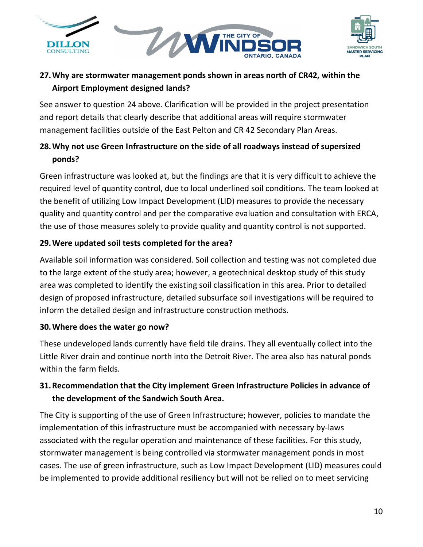



## **27.Why are stormwater management ponds shown in areas north of CR42, within the Airport Employment designed lands?**

See answer to question 24 above. Clarification will be provided in the project presentation and report details that clearly describe that additional areas will require stormwater management facilities outside of the East Pelton and CR 42 Secondary Plan Areas.

## **28.Why not use Green Infrastructure on the side of all roadways instead of supersized ponds?**

Green infrastructure was looked at, but the findings are that it is very difficult to achieve the required level of quantity control, due to local underlined soil conditions. The team looked at the benefit of utilizing Low Impact Development (LID) measures to provide the necessary quality and quantity control and per the comparative evaluation and consultation with ERCA, the use of those measures solely to provide quality and quantity control is not supported.

### **29.Were updated soil tests completed for the area?**

Available soil information was considered. Soil collection and testing was not completed due to the large extent of the study area; however, a geotechnical desktop study of this study area was completed to identify the existing soil classification in this area. Prior to detailed design of proposed infrastructure, detailed subsurface soil investigations will be required to inform the detailed design and infrastructure construction methods.

### **30.Where does the water go now?**

These undeveloped lands currently have field tile drains. They all eventually collect into the Little River drain and continue north into the Detroit River. The area also has natural ponds within the farm fields.

## <span id="page-9-0"></span>**31.Recommendation that the City implement Green Infrastructure Policies in advance of the development of the Sandwich South Area.**

The City is supporting of the use of Green Infrastructure; however, policies to mandate the implementation of this infrastructure must be accompanied with necessary by-laws associated with the regular operation and maintenance of these facilities. For this study, stormwater management is being controlled via stormwater management ponds in most cases. The use of green infrastructure, such as Low Impact Development (LID) measures could be implemented to provide additional resiliency but will not be relied on to meet servicing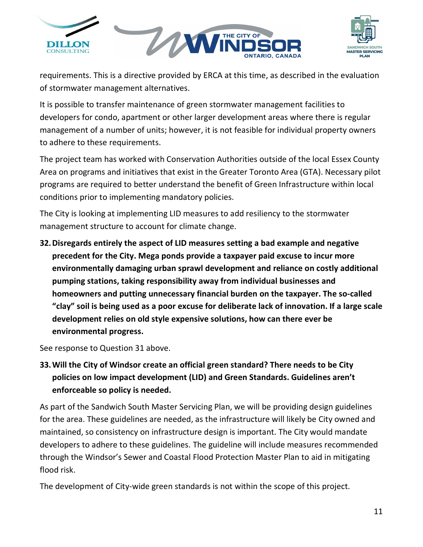



requirements. This is a directive provided by ERCA at this time, as described in the evaluation of stormwater management alternatives.

It is possible to transfer maintenance of green stormwater management facilities to developers for condo, apartment or other larger development areas where there is regular management of a number of units; however, it is not feasible for individual property owners to adhere to these requirements.

The project team has worked with Conservation Authorities outside of the local Essex County Area on programs and initiatives that exist in the Greater Toronto Area (GTA). Necessary pilot programs are required to better understand the benefit of Green Infrastructure within local conditions prior to implementing mandatory policies.

The City is looking at implementing LID measures to add resiliency to the stormwater management structure to account for climate change.

**32.Disregards entirely the aspect of LID measures setting a bad example and negative precedent for the City. Mega ponds provide a taxpayer paid excuse to incur more environmentally damaging urban sprawl development and reliance on costly additional pumping stations, taking responsibility away from individual businesses and homeowners and putting unnecessary financial burden on the taxpayer. The so-called "clay" soil is being used as a poor excuse for deliberate lack of innovation. If a large scale development relies on old style expensive solutions, how can there ever be environmental progress.**

See response to Question [31](#page-9-0) above.

# **33.Will the City of Windsor create an official green standard? There needs to be City policies on low impact development (LID) and Green Standards. Guidelines aren't enforceable so policy is needed.**

As part of the Sandwich South Master Servicing Plan, we will be providing design guidelines for the area. These guidelines are needed, as the infrastructure will likely be City owned and maintained, so consistency on infrastructure design is important. The City would mandate developers to adhere to these guidelines. The guideline will include measures recommended through the Windsor's Sewer and Coastal Flood Protection Master Plan to aid in mitigating flood risk.

The development of City-wide green standards is not within the scope of this project.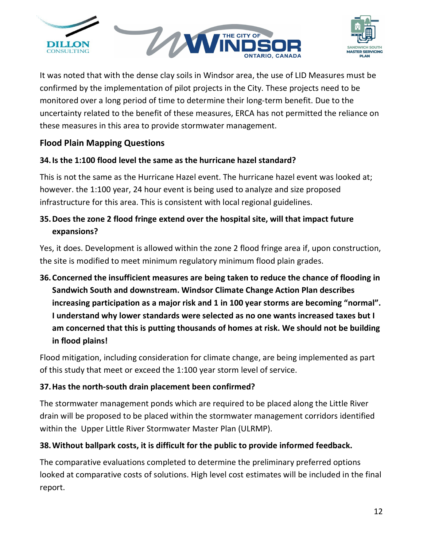



It was noted that with the dense clay soils in Windsor area, the use of LID Measures must be confirmed by the implementation of pilot projects in the City. These projects need to be monitored over a long period of time to determine their long-term benefit. Due to the uncertainty related to the benefit of these measures, ERCA has not permitted the reliance on these measures in this area to provide stormwater management.

### **Flood Plain Mapping Questions**

### **34.Is the 1:100 flood level the same as the hurricane hazel standard?**

This is not the same as the Hurricane Hazel event. The hurricane hazel event was looked at; however. the 1:100 year, 24 hour event is being used to analyze and size proposed infrastructure for this area. This is consistent with local regional guidelines.

## **35.Does the zone 2 flood fringe extend over the hospital site, will that impact future expansions?**

Yes, it does. Development is allowed within the zone 2 flood fringe area if, upon construction, the site is modified to meet minimum regulatory minimum flood plain grades.

# **36.Concerned the insufficient measures are being taken to reduce the chance of flooding in Sandwich South and downstream. Windsor Climate Change Action Plan describes increasing participation as a major risk and 1 in 100 year storms are becoming "normal". I understand why lower standards were selected as no one wants increased taxes but I am concerned that this is putting thousands of homes at risk. We should not be building in flood plains!**

Flood mitigation, including consideration for climate change, are being implemented as part of this study that meet or exceed the 1:100 year storm level of service.

### **37.Has the north-south drain placement been confirmed?**

The stormwater management ponds which are required to be placed along the Little River drain will be proposed to be placed within the stormwater management corridors identified within the Upper Little River Stormwater Master Plan (ULRMP).

### **38.Without ballpark costs, it is difficult for the public to provide informed feedback.**

The comparative evaluations completed to determine the preliminary preferred options looked at comparative costs of solutions. High level cost estimates will be included in the final report.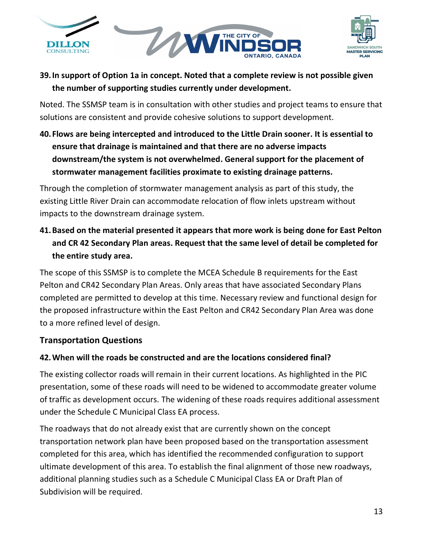



## **39.In support of Option 1a in concept. Noted that a complete review is not possible given the number of supporting studies currently under development.**

Noted. The SSMSP team is in consultation with other studies and project teams to ensure that solutions are consistent and provide cohesive solutions to support development.

**40. Flows are being intercepted and introduced to the Little Drain sooner. It is essential to ensure that drainage is maintained and that there are no adverse impacts downstream/the system is not overwhelmed. General support for the placement of stormwater management facilities proximate to existing drainage patterns.**

Through the completion of stormwater management analysis as part of this study, the existing Little River Drain can accommodate relocation of flow inlets upstream without impacts to the downstream drainage system.

**41.Based on the material presented it appears that more work is being done for East Pelton and CR 42 Secondary Plan areas. Request that the same level of detail be completed for the entire study area.**

The scope of this SSMSP is to complete the MCEA Schedule B requirements for the East Pelton and CR42 Secondary Plan Areas. Only areas that have associated Secondary Plans completed are permitted to develop at this time. Necessary review and functional design for the proposed infrastructure within the East Pelton and CR42 Secondary Plan Area was done to a more refined level of design.

### **Transportation Questions**

### **42.When will the roads be constructed and are the locations considered final?**

The existing collector roads will remain in their current locations. As highlighted in the PIC presentation, some of these roads will need to be widened to accommodate greater volume of traffic as development occurs. The widening of these roads requires additional assessment under the Schedule C Municipal Class EA process.

The roadways that do not already exist that are currently shown on the concept transportation network plan have been proposed based on the transportation assessment completed for this area, which has identified the recommended configuration to support ultimate development of this area. To establish the final alignment of those new roadways, additional planning studies such as a Schedule C Municipal Class EA or Draft Plan of Subdivision will be required.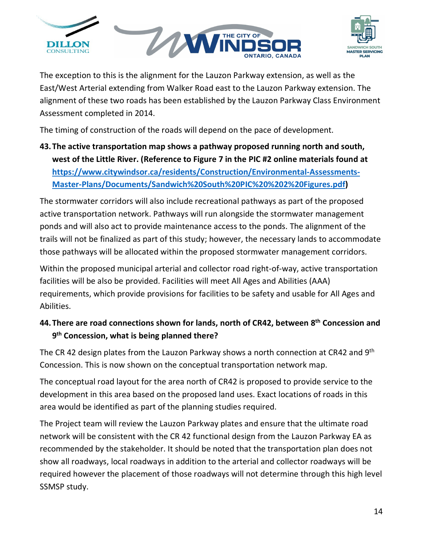



The exception to this is the alignment for the Lauzon Parkway extension, as well as the East/West Arterial extending from Walker Road east to the Lauzon Parkway extension. The alignment of these two roads has been established by the Lauzon Parkway Class Environment Assessment completed in 2014.

The timing of construction of the roads will depend on the pace of development.

**43.The active transportation map shows a pathway proposed running north and south, west of the Little River. (Reference to Figure 7 in the PIC #2 online materials found at [https://www.citywindsor.ca/residents/Construction/Environmental-Assessments-](https://www.citywindsor.ca/residents/Construction/Environmental-Assessments-Master-Plans/Documents/Sandwich%20South%20PIC%20%202%20Figures.pdf)[Master-Plans/Documents/Sandwich%20South%20PIC%20%202%20Figures.pdf\)](https://www.citywindsor.ca/residents/Construction/Environmental-Assessments-Master-Plans/Documents/Sandwich%20South%20PIC%20%202%20Figures.pdf)**

The stormwater corridors will also include recreational pathways as part of the proposed active transportation network. Pathways will run alongside the stormwater management ponds and will also act to provide maintenance access to the ponds. The alignment of the trails will not be finalized as part of this study; however, the necessary lands to accommodate those pathways will be allocated within the proposed stormwater management corridors.

Within the proposed municipal arterial and collector road right-of-way, active transportation facilities will be also be provided. Facilities will meet All Ages and Abilities (AAA) requirements, which provide provisions for facilities to be safety and usable for All Ages and Abilities.

## **44.There are road connections shown for lands, north of CR42, between 8th Concession and 9th Concession, what is being planned there?**

The CR 42 design plates from the Lauzon Parkway shows a north connection at CR42 and  $9<sup>th</sup>$ Concession. This is now shown on the conceptual transportation network map.

The conceptual road layout for the area north of CR42 is proposed to provide service to the development in this area based on the proposed land uses. Exact locations of roads in this area would be identified as part of the planning studies required.

The Project team will review the Lauzon Parkway plates and ensure that the ultimate road network will be consistent with the CR 42 functional design from the Lauzon Parkway EA as recommended by the stakeholder. It should be noted that the transportation plan does not show all roadways, local roadways in addition to the arterial and collector roadways will be required however the placement of those roadways will not determine through this high level SSMSP study.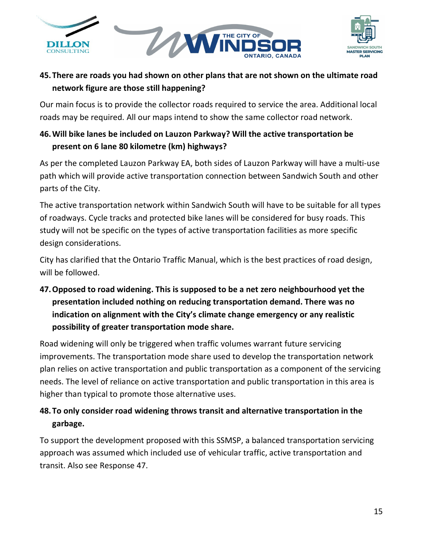



## **45.There are roads you had shown on other plans that are not shown on the ultimate road network figure are those still happening?**

Our main focus is to provide the collector roads required to service the area. Additional local roads may be required. All our maps intend to show the same collector road network.

## **46.Will bike lanes be included on Lauzon Parkway? Will the active transportation be present on 6 lane 80 kilometre (km) highways?**

As per the completed Lauzon Parkway EA, both sides of Lauzon Parkway will have a multi-use path which will provide active transportation connection between Sandwich South and other parts of the City.

The active transportation network within Sandwich South will have to be suitable for all types of roadways. Cycle tracks and protected bike lanes will be considered for busy roads. This study will not be specific on the types of active transportation facilities as more specific design considerations.

City has clarified that the Ontario Traffic Manual, which is the best practices of road design, will be followed.

<span id="page-14-0"></span>**47.Opposed to road widening. This is supposed to be a net zero neighbourhood yet the presentation included nothing on reducing transportation demand. There was no indication on alignment with the City's climate change emergency or any realistic possibility of greater transportation mode share.**

Road widening will only be triggered when traffic volumes warrant future servicing improvements. The transportation mode share used to develop the transportation network plan relies on active transportation and public transportation as a component of the servicing needs. The level of reliance on active transportation and public transportation in this area is higher than typical to promote those alternative uses.

## **48.To only consider road widening throws transit and alternative transportation in the garbage.**

To support the development proposed with this SSMSP, a balanced transportation servicing approach was assumed which included use of vehicular traffic, active transportation and transit. Also see Response [47.](#page-14-0)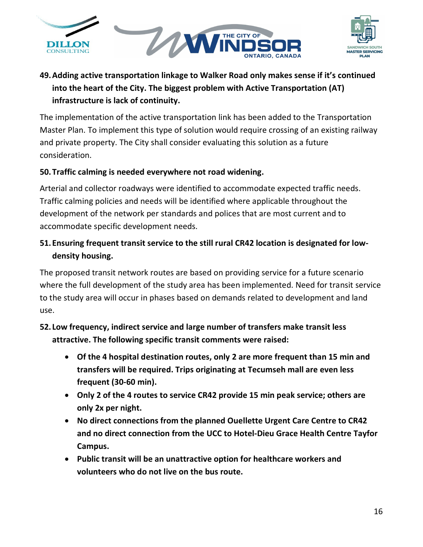



# **49.Adding active transportation linkage to Walker Road only makes sense if it's continued into the heart of the City. The biggest problem with Active Transportation (AT) infrastructure is lack of continuity.**

The implementation of the active transportation link has been added to the Transportation Master Plan. To implement this type of solution would require crossing of an existing railway and private property. The City shall consider evaluating this solution as a future consideration.

### **50.Traffic calming is needed everywhere not road widening.**

Arterial and collector roadways were identified to accommodate expected traffic needs. Traffic calming policies and needs will be identified where applicable throughout the development of the network per standards and polices that are most current and to accommodate specific development needs.

## **51. Ensuring frequent transit service to the still rural CR42 location is designated for lowdensity housing.**

The proposed transit network routes are based on providing service for a future scenario where the full development of the study area has been implemented. Need for transit service to the study area will occur in phases based on demands related to development and land use.

## **52. Low frequency, indirect service and large number of transfers make transit less attractive. The following specific transit comments were raised:**

- **Of the 4 hospital destination routes, only 2 are more frequent than 15 min and transfers will be required. Trips originating at Tecumseh mall are even less frequent (30-60 min).**
- **Only 2 of the 4 routes to service CR42 provide 15 min peak service; others are only 2x per night.**
- **No direct connections from the planned Ouellette Urgent Care Centre to CR42 and no direct connection from the UCC to Hotel-Dieu Grace Health Centre Tayfor Campus.**
- **Public transit will be an unattractive option for healthcare workers and volunteers who do not live on the bus route.**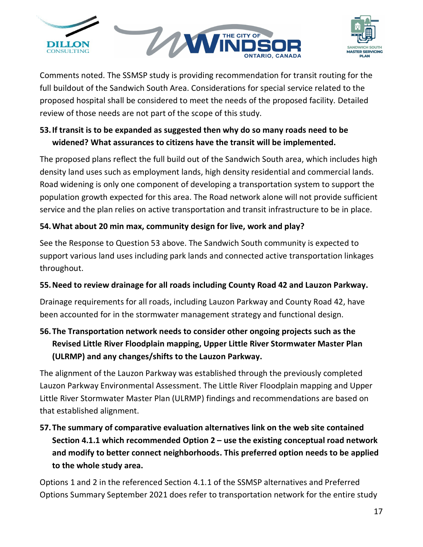



Comments noted. The SSMSP study is providing recommendation for transit routing for the full buildout of the Sandwich South Area. Considerations for special service related to the proposed hospital shall be considered to meet the needs of the proposed facility. Detailed review of those needs are not part of the scope of this study.

## <span id="page-16-0"></span>**53.If transit is to be expanded as suggested then why do so many roads need to be widened? What assurances to citizens have the transit will be implemented.**

The proposed plans reflect the full build out of the Sandwich South area, which includes high density land uses such as employment lands, high density residential and commercial lands. Road widening is only one component of developing a transportation system to support the population growth expected for this area. The Road network alone will not provide sufficient service and the plan relies on active transportation and transit infrastructure to be in place.

## **54.What about 20 min max, community design for live, work and play?**

See the Response to Question [53](#page-16-0) above. The Sandwich South community is expected to support various land uses including park lands and connected active transportation linkages throughout.

## **55.Need to review drainage for all roads including County Road 42 and Lauzon Parkway.**

Drainage requirements for all roads, including Lauzon Parkway and County Road 42, have been accounted for in the stormwater management strategy and functional design.

# **56.The Transportation network needs to consider other ongoing projects such as the Revised Little River Floodplain mapping, Upper Little River Stormwater Master Plan (ULRMP) and any changes/shifts to the Lauzon Parkway.**

The alignment of the Lauzon Parkway was established through the previously completed Lauzon Parkway Environmental Assessment. The Little River Floodplain mapping and Upper Little River Stormwater Master Plan (ULRMP) findings and recommendations are based on that established alignment.

# **57.The summary of comparative evaluation alternatives link on the web site contained Section 4.1.1 which recommended Option 2 – use the existing conceptual road network and modify to better connect neighborhoods. This preferred option needs to be applied to the whole study area.**

Options 1 and 2 in the referenced Section 4.1.1 of the SSMSP alternatives and Preferred Options Summary September 2021 does refer to transportation network for the entire study